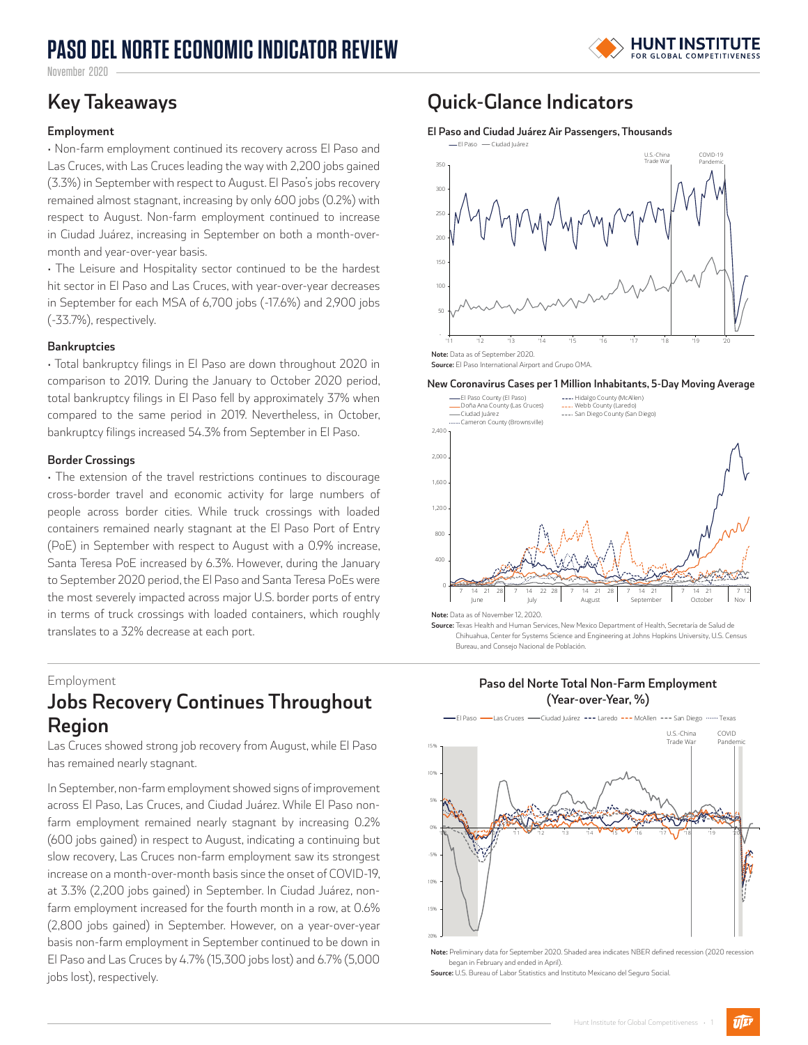# **PASO DEL NORTE ECONOMIC INDICATOR REVIEW**



November 2020

### **Employment**

• Non-farm employment continued its recovery across El Paso and Las Cruces, with Las Cruces leading the way with 2,200 jobs gained (3.3%) in September with respect to August. El Paso's jobs recovery remained almost stagnant, increasing by only 600 jobs (0.2%) with respect to August. Non-farm employment continued to increase in Ciudad Juárez, increasing in September on both a month-overmonth and year-over-year basis.

• The Leisure and Hospitality sector continued to be the hardest hit sector in El Paso and Las Cruces, with year-over-year decreases in September for each MSA of 6,700 jobs (-17.6%) and 2,900 jobs (-33.7%), respectively.

### **Bankruptcies**

• Total bankruptcy filings in El Paso are down throughout 2020 in comparison to 2019. During the January to October 2020 period, total bankruptcy filings in El Paso fell by approximately 37% when compared to the same period in 2019. Nevertheless, in October, bankruptcy filings increased 54.3% from September in El Paso.

### **Border Crossings**

• The extension of the travel restrictions continues to discourage cross-border travel and economic activity for large numbers of people across border cities. While truck crossings with loaded containers remained nearly stagnant at the El Paso Port of Entry (PoE) in September with respect to August with a 0.9% increase, Santa Teresa PoE increased by 6.3%. However, during the January to September 2020 period, the El Paso and Santa Teresa PoEs were the most severely impacted across major U.S. border ports of entry in terms of truck crossings with loaded containers, which roughly translates to a 32% decrease at each port.

### Employment

## **Jobs Recovery Continues Throughout Region**

Las Cruces showed strong job recovery from August, while El Paso has remained nearly stagnant.

In September, non-farm employment showed signs of improvement across El Paso, Las Cruces, and Ciudad Juárez. While El Paso nonfarm employment remained nearly stagnant by increasing 0.2% (600 jobs gained) in respect to August, indicating a continuing but slow recovery, Las Cruces non-farm employment saw its strongest increase on a month-over-month basis since the onset of COVID-19, at 3.3% (2,200 jobs gained) in September. In Ciudad Juárez, nonfarm employment increased for the fourth month in a row, at 0.6% (2,800 jobs gained) in September. However, on a year-over-year basis non-farm employment in September continued to be down in El Paso and Las Cruces by 4.7% (15,300 jobs lost) and 6.7% (5,000 jobs lost), respectively.

### **Key Takeaways Quick-Glance Indicators**

**El Paso and Ciudad Juárez Air Passengers, Thousands** El Paso Ciudad Juárez



**Source:** El Paso International Airport and Grupo OMA.

**New Coronavirus Cases per 1 Million Inhabitants, 5-Day Moving Average**



**Source:** Texas Health and Human Services, New Mexico Department of Health, Secretaría de Salud de Chihuahua, Center for Systems Science and Engineering at Johns Hopkins University, U.S. Census Bureau, and Consejo Nacional de Población.

> **Paso del Norte Total Non-Farm Employment (Year-over-Year, %)**



**Note:** Preliminary data for September 2020. Shaded area indicates NBER defined recession (2020 recession began in February and ended in April).

**Source:** U.S. Bureau of Labor Statistics and Instituto Mexicano del Seguro Social.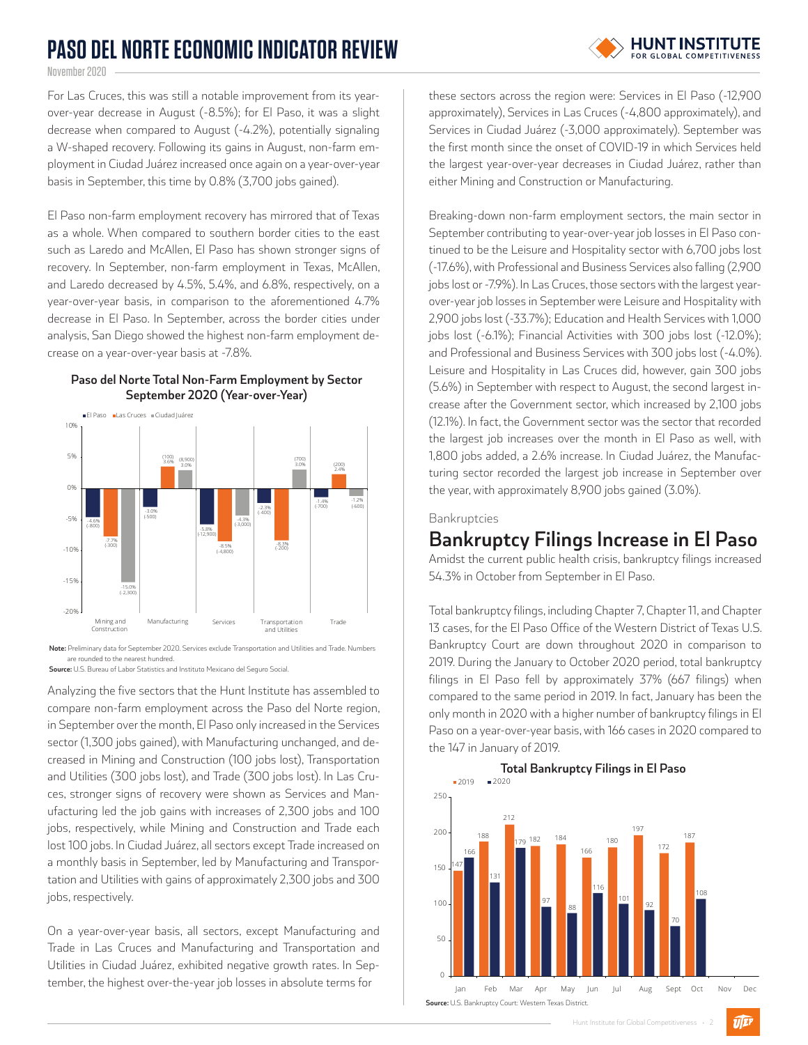# **PASO DEL NORTE ECONOMIC INDICATOR REVIEW**

# **HUNT INSTITUTE**

November 2020

For Las Cruces, this was still a notable improvement from its yearover-year decrease in August (-8.5%); for El Paso, it was a slight decrease when compared to August (-4.2%), potentially signaling a W-shaped recovery. Following its gains in August, non-farm employment in Ciudad Juárez increased once again on a year-over-year basis in September, this time by 0.8% (3,700 jobs gained).

El Paso non-farm employment recovery has mirrored that of Texas as a whole. When compared to southern border cities to the east such as Laredo and McAllen, El Paso has shown stronger signs of recovery. In September, non-farm employment in Texas, McAllen, and Laredo decreased by 4.5%, 5.4%, and 6.8%, respectively, on a year-over-year basis, in comparison to the aforementioned 4.7% decrease in El Paso. In September, across the border cities under analysis, San Diego showed the highest non-farm employment decrease on a year-over-year basis at -7.8%.



### **Paso del Norte Total Non-Farm Employment by Sector September 2020 (Year-over-Year)**

**Note:** Preliminary data for September 2020. Services exclude Transportation and Utilities and Trade. Numbers are rounded to the nearest hundred.

**Source:** U.S. Bureau of Labor Statistics and Instituto Mexicano del Seguro Social.

Analyzing the five sectors that the Hunt Institute has assembled to compare non-farm employment across the Paso del Norte region, in September over the month, El Paso only increased in the Services sector (1,300 jobs gained), with Manufacturing unchanged, and decreased in Mining and Construction (100 jobs lost), Transportation and Utilities (300 jobs lost), and Trade (300 jobs lost). In Las Cruces, stronger signs of recovery were shown as Services and Manufacturing led the job gains with increases of 2,300 jobs and 100 jobs, respectively, while Mining and Construction and Trade each lost 100 jobs. In Ciudad Juárez, all sectors except Trade increased on a monthly basis in September, led by Manufacturing and Transportation and Utilities with gains of approximately 2,300 jobs and 300 jobs, respectively.

On a year-over-year basis, all sectors, except Manufacturing and Trade in Las Cruces and Manufacturing and Transportation and Utilities in Ciudad Juárez, exhibited negative growth rates. In September, the highest over-the-year job losses in absolute terms for

these sectors across the region were: Services in El Paso (-12,900 approximately), Services in Las Cruces (-4,800 approximately), and Services in Ciudad Juárez (-3,000 approximately). September was the first month since the onset of COVID-19 in which Services held the largest year-over-year decreases in Ciudad Juárez, rather than either Mining and Construction or Manufacturing.

Breaking-down non-farm employment sectors, the main sector in September contributing to year-over-year job losses in El Paso continued to be the Leisure and Hospitality sector with 6,700 jobs lost (-17.6%), with Professional and Business Services also falling (2,900 jobs lost or -7.9%). In Las Cruces, those sectors with the largest yearover-year job losses in September were Leisure and Hospitality with 2,900 jobs lost (-33.7%); Education and Health Services with 1,000 jobs lost (-6.1%); Financial Activities with 300 jobs lost (-12.0%); and Professional and Business Services with 300 jobs lost (-4.0%). Leisure and Hospitality in Las Cruces did, however, gain 300 jobs (5.6%) in September with respect to August, the second largest increase after the Government sector, which increased by 2,100 jobs (12.1%). In fact, the Government sector was the sector that recorded the largest job increases over the month in El Paso as well, with 1,800 jobs added, a 2.6% increase. In Ciudad Juárez, the Manufacturing sector recorded the largest job increase in September over the year, with approximately 8,900 jobs gained (3.0%).

Bankruptcies

### **Bankruptcy Filings Increase in El Paso**

Amidst the current public health crisis, bankruptcy filings increased 54.3% in October from September in El Paso.

Total bankruptcy filings, including Chapter 7, Chapter 11, and Chapter 13 cases, for the El Paso Office of the Western District of Texas U.S. Bankruptcy Court are down throughout 2020 in comparison to 2019. During the January to October 2020 period, total bankruptcy filings in El Paso fell by approximately 37% (667 filings) when compared to the same period in 2019. In fact, January has been the only month in 2020 with a higher number of bankruptcy filings in El Paso on a year-over-year basis, with 166 cases in 2020 compared to the 147 in January of 2019.